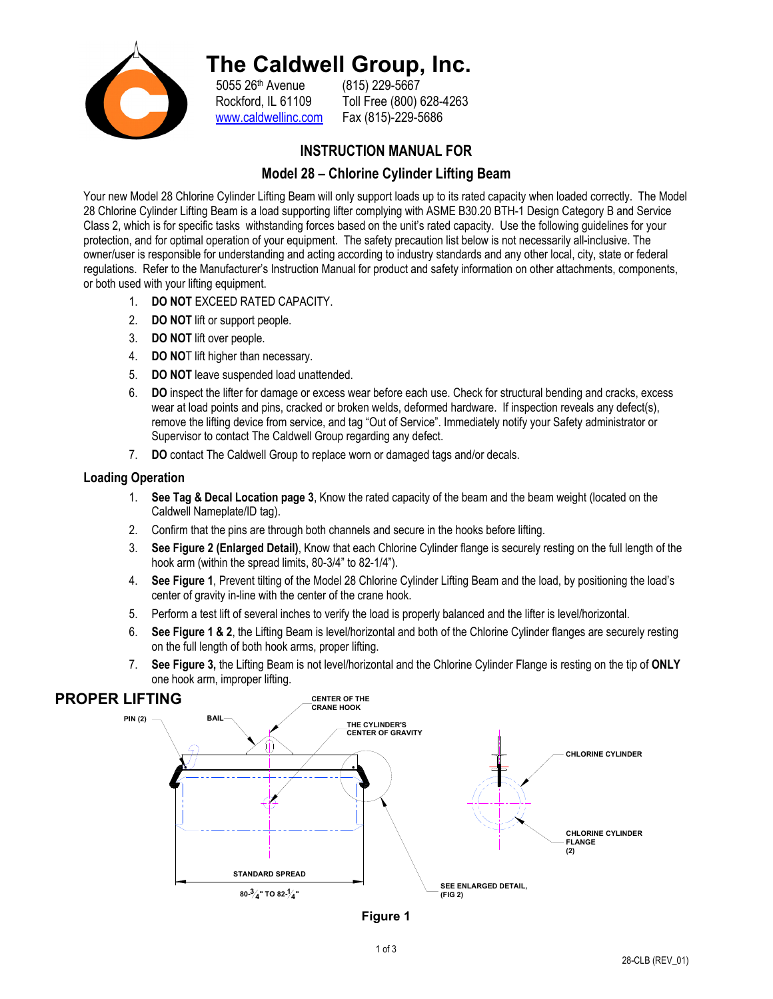

## **The Caldwell Group, Inc.**

5055 26<sup>th</sup> Avenue (815) 229-5667<br>Rockford, IL 61109 Toll Free (800) ( www.caldwellinc.com Fax (815)-229-5686

Toll Free (800) 628-4263

#### **INSTRUCTION MANUAL FOR**

#### **Model 28 – Chlorine Cylinder Lifting Beam**

Your new Model 28 Chlorine Cylinder Lifting Beam will only support loads up to its rated capacity when loaded correctly. The Model 28 Chlorine Cylinder Lifting Beam is a load supporting lifter complying with ASME B30.20 BTH-1 Design Category B and Service Class 2, which is for specific tasks withstanding forces based on the unit's rated capacity. Use the following guidelines for your protection, and for optimal operation of your equipment. The safety precaution list below is not necessarily all-inclusive. The owner/user is responsible for understanding and acting according to industry standards and any other local, city, state or federal regulations. Refer to the Manufacturer's Instruction Manual for product and safety information on other attachments, components, or both used with your lifting equipment.

- 1. **DO NOT** EXCEED RATED CAPACITY.
- 2. **DO NOT** lift or support people.
- 3. **DO NOT** lift over people.
- 4. **DO NO**T lift higher than necessary.
- 5. **DO NOT** leave suspended load unattended.
- 6. **DO** inspect the lifter for damage or excess wear before each use. Check for structural bending and cracks, excess wear at load points and pins, cracked or broken welds, deformed hardware. If inspection reveals any defect(s), remove the lifting device from service, and tag "Out of Service". Immediately notify your Safety administrator or Supervisor to contact The Caldwell Group regarding any defect.
- 7. **DO** contact The Caldwell Group to replace worn or damaged tags and/or decals.

#### **Loading Operation**

- 1. **See Tag & Decal Location page 3**, Know the rated capacity of the beam and the beam weight (located on the Caldwell Nameplate/ID tag).
- 2. Confirm that the pins are through both channels and secure in the hooks before lifting.
- 3. **See Figure 2 (Enlarged Detail)**, Know that each Chlorine Cylinder flange is securely resting on the full length of the hook arm (within the spread limits, 80-3/4" to 82-1/4").
- 4. **See Figure 1**, Prevent tilting of the Model 28 Chlorine Cylinder Lifting Beam and the load, by positioning the load's center of gravity in-line with the center of the crane hook.
- 5. Perform a test lift of several inches to verify the load is properly balanced and the lifter is level/horizontal.
- 6. **See Figure 1 & 2**, the Lifting Beam is level/horizontal and both of the Chlorine Cylinder flanges are securely resting on the full length of both hook arms, proper lifting.
- 7. **See Figure 3,** the Lifting Beam is not level/horizontal and the Chlorine Cylinder Flange is resting on the tip of **ONLY**  one hook arm, improper lifting.

### **PROPER LIFTING**



**Figure 1**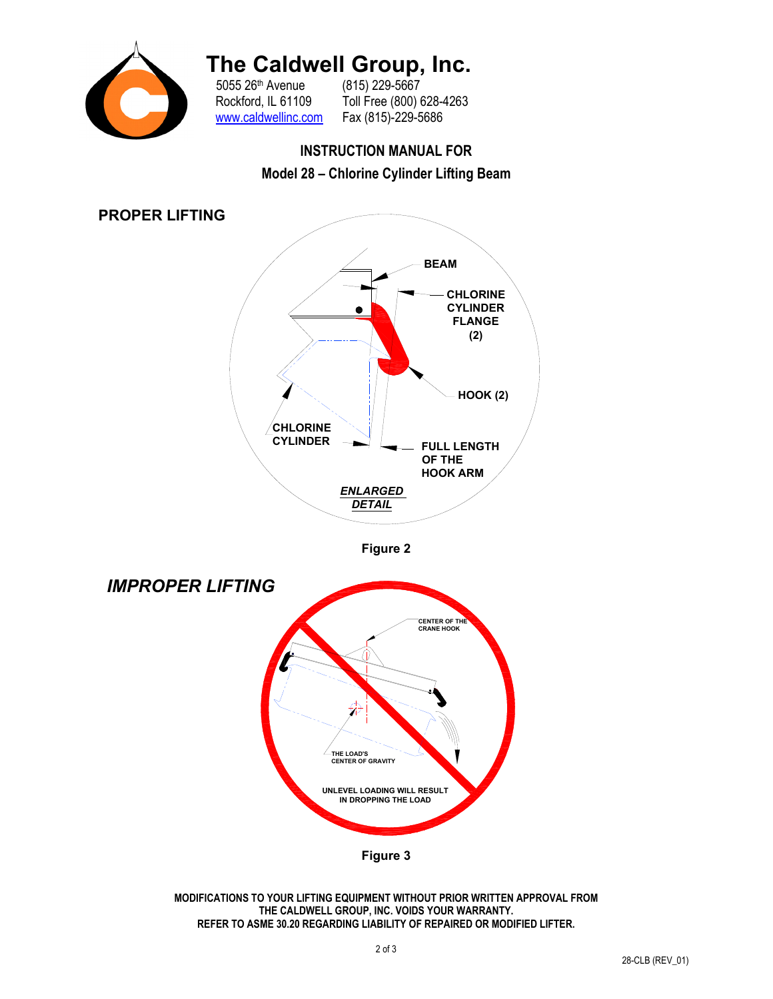

# **The Caldwell Group, Inc.** 5055 26<sup>th</sup> Avenue (815) 229-5667

5055 26<sup>th</sup> Avenue<br>Rockford, IL 61109 www.caldwellinc.com Fax (815)-229-5686

Toll Free (800) 628-4263

### **INSTRUCTION MANUAL FOR**





**Figure 2** 



**MODIFICATIONS TO YOUR LIFTING EQUIPMENT WITHOUT PRIOR WRITTEN APPROVAL FROM THE CALDWELL GROUP, INC. VOIDS YOUR WARRANTY. REFER TO ASME 30.20 REGARDING LIABILITY OF REPAIRED OR MODIFIED LIFTER.**